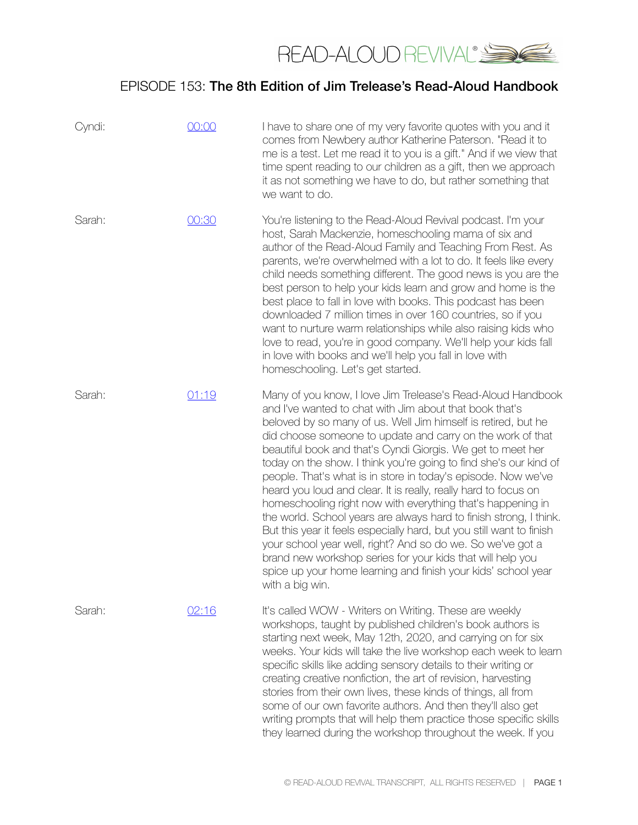

| Cyndi: | 00:00 | I have to share one of my very favorite quotes with you and it<br>comes from Newbery author Katherine Paterson. "Read it to<br>me is a test. Let me read it to you is a gift." And if we view that<br>time spent reading to our children as a gift, then we approach<br>it as not something we have to do, but rather something that<br>we want to do.                                                                                                                                                                                                                                                                                                                                                                                                                                                                                                                                                                                                     |
|--------|-------|------------------------------------------------------------------------------------------------------------------------------------------------------------------------------------------------------------------------------------------------------------------------------------------------------------------------------------------------------------------------------------------------------------------------------------------------------------------------------------------------------------------------------------------------------------------------------------------------------------------------------------------------------------------------------------------------------------------------------------------------------------------------------------------------------------------------------------------------------------------------------------------------------------------------------------------------------------|
| Sarah: | 00:30 | You're listening to the Read-Aloud Revival podcast. I'm your<br>host, Sarah Mackenzie, homeschooling mama of six and<br>author of the Read-Aloud Family and Teaching From Rest. As<br>parents, we're overwhelmed with a lot to do. It feels like every<br>child needs something different. The good news is you are the<br>best person to help your kids learn and grow and home is the<br>best place to fall in love with books. This podcast has been<br>downloaded 7 million times in over 160 countries, so if you<br>want to nurture warm relationships while also raising kids who<br>love to read, you're in good company. We'll help your kids fall<br>in love with books and we'll help you fall in love with<br>homeschooling. Let's get started.                                                                                                                                                                                                |
| Sarah: | 01:19 | Many of you know, I love Jim Trelease's Read-Aloud Handbook<br>and I've wanted to chat with Jim about that book that's<br>beloved by so many of us. Well Jim himself is retired, but he<br>did choose someone to update and carry on the work of that<br>beautiful book and that's Cyndi Giorgis. We get to meet her<br>today on the show. I think you're going to find she's our kind of<br>people. That's what is in store in today's episode. Now we've<br>heard you loud and clear. It is really, really hard to focus on<br>homeschooling right now with everything that's happening in<br>the world. School years are always hard to finish strong, I think.<br>But this year it feels especially hard, but you still want to finish<br>your school year well, right? And so do we. So we've got a<br>brand new workshop series for your kids that will help you<br>spice up your home learning and finish your kids' school year<br>with a big win. |
| Sarah: | 02:16 | It's called WOW - Writers on Writing. These are weekly<br>workshops, taught by published children's book authors is<br>starting next week, May 12th, 2020, and carrying on for six<br>weeks. Your kids will take the live workshop each week to learn<br>specific skills like adding sensory details to their writing or<br>creating creative nonfiction, the art of revision, harvesting<br>stories from their own lives, these kinds of things, all from<br>some of our own favorite authors. And then they'll also get<br>writing prompts that will help them practice those specific skills<br>they learned during the workshop throughout the week. If you                                                                                                                                                                                                                                                                                            |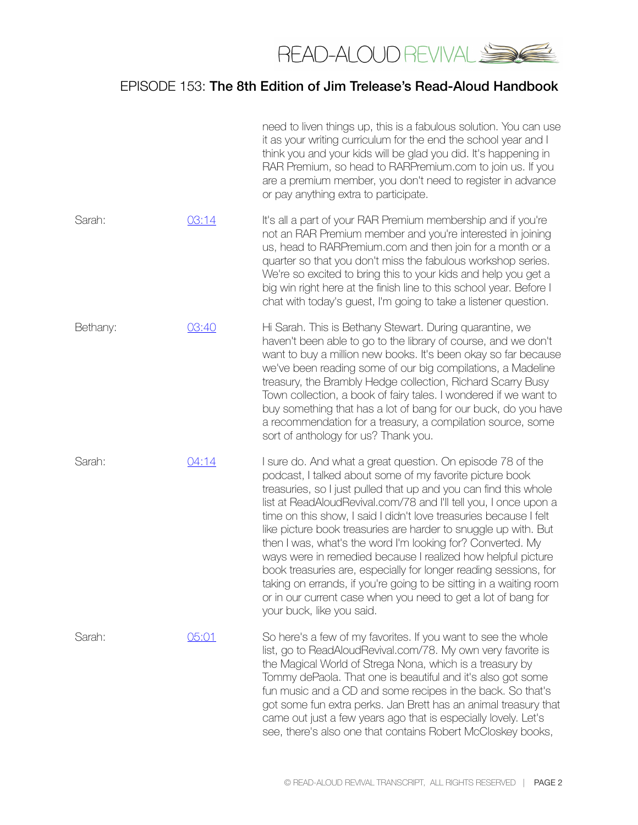

|          |       | need to liven things up, this is a fabulous solution. You can use<br>it as your writing curriculum for the end the school year and I<br>think you and your kids will be glad you did. It's happening in<br>RAR Premium, so head to RARPremium.com to join us. If you<br>are a premium member, you don't need to register in advance<br>or pay anything extra to participate.                                                                                                                                                                                                                                                                                                                                                                                                 |
|----------|-------|------------------------------------------------------------------------------------------------------------------------------------------------------------------------------------------------------------------------------------------------------------------------------------------------------------------------------------------------------------------------------------------------------------------------------------------------------------------------------------------------------------------------------------------------------------------------------------------------------------------------------------------------------------------------------------------------------------------------------------------------------------------------------|
| Sarah:   | 03:14 | It's all a part of your RAR Premium membership and if you're<br>not an RAR Premium member and you're interested in joining<br>us, head to RARPremium.com and then join for a month or a<br>quarter so that you don't miss the fabulous workshop series.<br>We're so excited to bring this to your kids and help you get a<br>big win right here at the finish line to this school year. Before I<br>chat with today's guest, I'm going to take a listener question.                                                                                                                                                                                                                                                                                                          |
| Bethany: | 03:40 | Hi Sarah. This is Bethany Stewart. During quarantine, we<br>haven't been able to go to the library of course, and we don't<br>want to buy a million new books. It's been okay so far because<br>we've been reading some of our big compilations, a Madeline<br>treasury, the Brambly Hedge collection, Richard Scarry Busy<br>Town collection, a book of fairy tales. I wondered if we want to<br>buy something that has a lot of bang for our buck, do you have<br>a recommendation for a treasury, a compilation source, some<br>sort of anthology for us? Thank you.                                                                                                                                                                                                      |
| Sarah:   | 04:14 | I sure do. And what a great question. On episode 78 of the<br>podcast, I talked about some of my favorite picture book<br>treasuries, so I just pulled that up and you can find this whole<br>list at ReadAloudRevival.com/78 and I'll tell you, I once upon a<br>time on this show, I said I didn't love treasuries because I felt<br>like picture book treasuries are harder to snuggle up with. But<br>then I was, what's the word I'm looking for? Converted. My<br>ways were in remedied because I realized how helpful picture<br>book treasuries are, especially for longer reading sessions, for<br>taking on errands, if you're going to be sitting in a waiting room<br>or in our current case when you need to get a lot of bang for<br>your buck, like you said. |
| Sarah:   | 05:01 | So here's a few of my favorites. If you want to see the whole<br>list, go to ReadAloudRevival.com/78. My own very favorite is<br>the Magical World of Strega Nona, which is a treasury by<br>Tommy dePaola. That one is beautiful and it's also got some<br>fun music and a CD and some recipes in the back. So that's<br>got some fun extra perks. Jan Brett has an animal treasury that<br>came out just a few years ago that is especially lovely. Let's<br>see, there's also one that contains Robert McCloskey books,                                                                                                                                                                                                                                                   |
|          |       |                                                                                                                                                                                                                                                                                                                                                                                                                                                                                                                                                                                                                                                                                                                                                                              |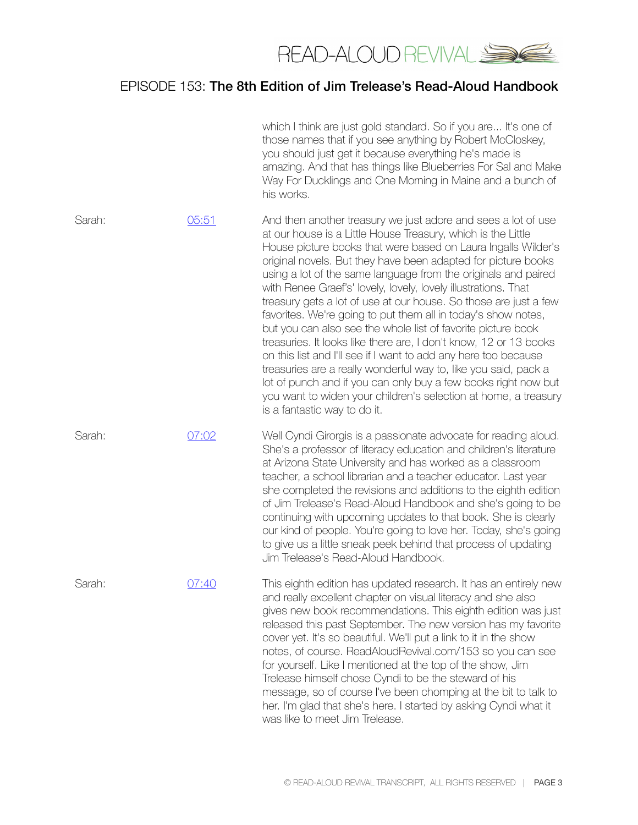

|        |       | which I think are just gold standard. So if you are It's one of<br>those names that if you see anything by Robert McCloskey,<br>you should just get it because everything he's made is<br>amazing. And that has things like Blueberries For Sal and Make<br>Way For Ducklings and One Morning in Maine and a bunch of<br>his works.                                                                                                                                                                                                                                                                                                                                                                                                                                                                                                                                                                                                                                                      |
|--------|-------|------------------------------------------------------------------------------------------------------------------------------------------------------------------------------------------------------------------------------------------------------------------------------------------------------------------------------------------------------------------------------------------------------------------------------------------------------------------------------------------------------------------------------------------------------------------------------------------------------------------------------------------------------------------------------------------------------------------------------------------------------------------------------------------------------------------------------------------------------------------------------------------------------------------------------------------------------------------------------------------|
| Sarah: | 05:51 | And then another treasury we just adore and sees a lot of use<br>at our house is a Little House Treasury, which is the Little<br>House picture books that were based on Laura Ingalls Wilder's<br>original novels. But they have been adapted for picture books<br>using a lot of the same language from the originals and paired<br>with Renee Graef's' lovely, lovely, lovely illustrations. That<br>treasury gets a lot of use at our house. So those are just a few<br>favorites. We're going to put them all in today's show notes,<br>but you can also see the whole list of favorite picture book<br>treasuries. It looks like there are, I don't know, 12 or 13 books<br>on this list and I'll see if I want to add any here too because<br>treasuries are a really wonderful way to, like you said, pack a<br>lot of punch and if you can only buy a few books right now but<br>you want to widen your children's selection at home, a treasury<br>is a fantastic way to do it. |
| Sarah: | 07:02 | Well Cyndi Girorgis is a passionate advocate for reading aloud.<br>She's a professor of literacy education and children's literature<br>at Arizona State University and has worked as a classroom<br>teacher, a school librarian and a teacher educator. Last year<br>she completed the revisions and additions to the eighth edition<br>of Jim Trelease's Read-Aloud Handbook and she's going to be<br>continuing with upcoming updates to that book. She is clearly<br>our kind of people. You're going to love her. Today, she's going<br>to give us a little sneak peek behind that process of updating<br>Jim Trelease's Read-Aloud Handbook.                                                                                                                                                                                                                                                                                                                                       |
| Sarah: | 07:40 | This eighth edition has updated research. It has an entirely new<br>and really excellent chapter on visual literacy and she also<br>gives new book recommendations. This eighth edition was just<br>released this past September. The new version has my favorite<br>cover yet. It's so beautiful. We'll put a link to it in the show<br>notes, of course. ReadAloudRevival.com/153 so you can see<br>for yourself. Like I mentioned at the top of the show, Jim<br>Trelease himself chose Cyndi to be the steward of his<br>message, so of course I've been chomping at the bit to talk to<br>her. I'm glad that she's here. I started by asking Cyndi what it<br>was like to meet Jim Trelease.                                                                                                                                                                                                                                                                                        |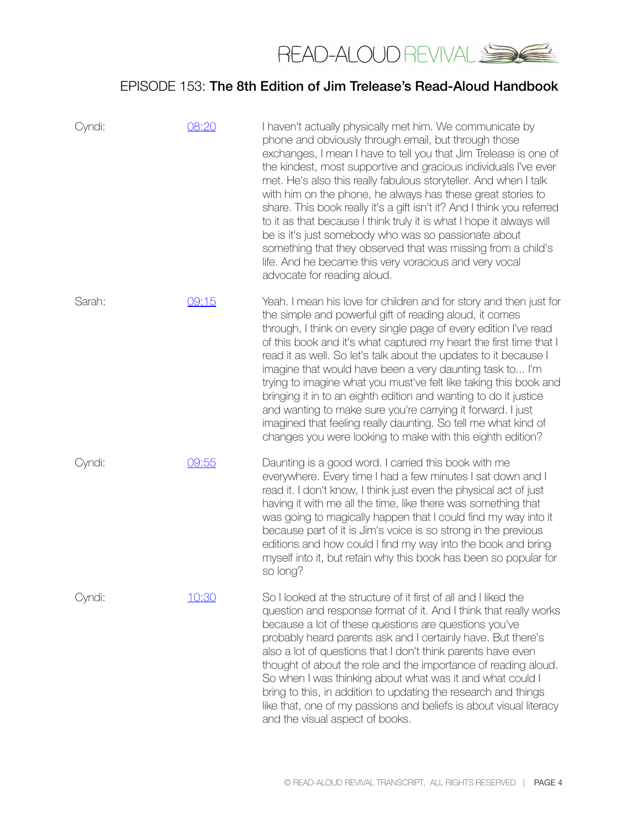

| Cyndi: | 08:20 | I haven't actually physically met him. We communicate by<br>phone and obviously through email, but through those<br>exchanges, I mean I have to tell you that Jim Trelease is one of<br>the kindest, most supportive and gracious individuals I've ever<br>met. He's also this really fabulous storyteller. And when I talk<br>with him on the phone, he always has these great stories to<br>share. This book really it's a gift isn't it? And I think you referred<br>to it as that because I think truly it is what I hope it always will<br>be is it's just somebody who was so passionate about<br>something that they observed that was missing from a child's<br>life. And he became this very voracious and very vocal<br>advocate for reading aloud. |
|--------|-------|---------------------------------------------------------------------------------------------------------------------------------------------------------------------------------------------------------------------------------------------------------------------------------------------------------------------------------------------------------------------------------------------------------------------------------------------------------------------------------------------------------------------------------------------------------------------------------------------------------------------------------------------------------------------------------------------------------------------------------------------------------------|
| Sarah: | 09:15 | Yeah. I mean his love for children and for story and then just for<br>the simple and powerful gift of reading aloud, it comes<br>through, I think on every single page of every edition I've read<br>of this book and it's what captured my heart the first time that I<br>read it as well. So let's talk about the updates to it because I<br>imagine that would have been a very daunting task to I'm<br>trying to imagine what you must've felt like taking this book and<br>bringing it in to an eighth edition and wanting to do it justice<br>and wanting to make sure you're carrying it forward. I just<br>imagined that feeling really daunting. So tell me what kind of<br>changes you were looking to make with this eighth edition?               |
| Cyndi: | 09:55 | Daunting is a good word. I carried this book with me<br>everywhere. Every time I had a few minutes I sat down and I<br>read it. I don't know, I think just even the physical act of just<br>having it with me all the time, like there was something that<br>was going to magically happen that I could find my way into it<br>because part of it is Jim's voice is so strong in the previous<br>editions and how could I find my way into the book and bring<br>myself into it, but retain why this book has been so popular for<br>so long?                                                                                                                                                                                                                 |
| Cyndi: | 10:30 | So I looked at the structure of it first of all and I liked the<br>question and response format of it. And I think that really works<br>because a lot of these questions are questions you've<br>probably heard parents ask and I certainly have. But there's<br>also a lot of questions that I don't think parents have even<br>thought of about the role and the importance of reading aloud.<br>So when I was thinking about what was it and what could I<br>bring to this, in addition to updating the research and things<br>like that, one of my passions and beliefs is about visual literacy<br>and the visual aspect of books.                                                                                                                       |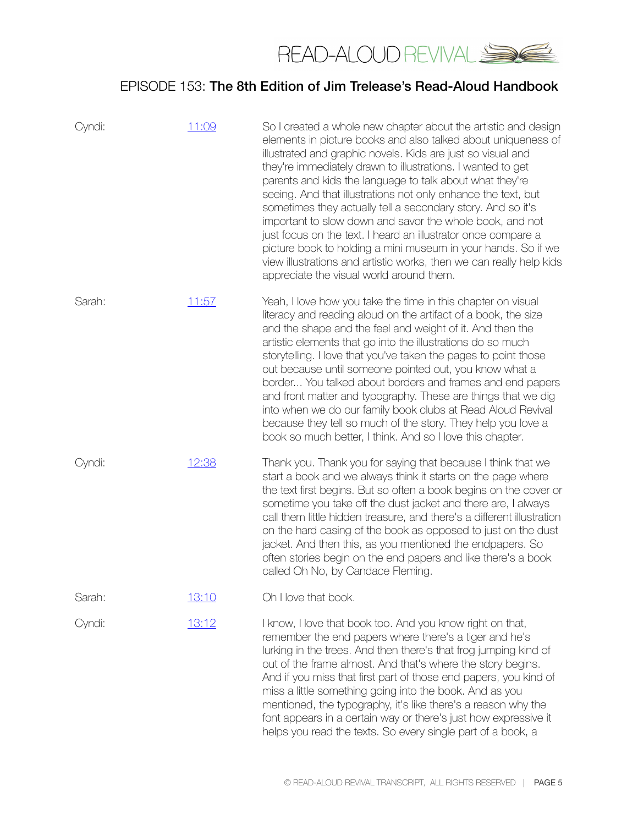

| Cyndi: | 11:09 | So I created a whole new chapter about the artistic and design<br>elements in picture books and also talked about uniqueness of<br>illustrated and graphic novels. Kids are just so visual and<br>they're immediately drawn to illustrations. I wanted to get<br>parents and kids the language to talk about what they're<br>seeing. And that illustrations not only enhance the text, but<br>sometimes they actually tell a secondary story. And so it's<br>important to slow down and savor the whole book, and not<br>just focus on the text. I heard an illustrator once compare a<br>picture book to holding a mini museum in your hands. So if we<br>view illustrations and artistic works, then we can really help kids<br>appreciate the visual world around them. |
|--------|-------|----------------------------------------------------------------------------------------------------------------------------------------------------------------------------------------------------------------------------------------------------------------------------------------------------------------------------------------------------------------------------------------------------------------------------------------------------------------------------------------------------------------------------------------------------------------------------------------------------------------------------------------------------------------------------------------------------------------------------------------------------------------------------|
| Sarah: | 11:57 | Yeah, I love how you take the time in this chapter on visual<br>literacy and reading aloud on the artifact of a book, the size<br>and the shape and the feel and weight of it. And then the<br>artistic elements that go into the illustrations do so much<br>storytelling. I love that you've taken the pages to point those<br>out because until someone pointed out, you know what a<br>border You talked about borders and frames and end papers<br>and front matter and typography. These are things that we dig<br>into when we do our family book clubs at Read Aloud Revival<br>because they tell so much of the story. They help you love a<br>book so much better, I think. And so I love this chapter.                                                          |
| Cyndi: | 12:38 | Thank you. Thank you for saying that because I think that we<br>start a book and we always think it starts on the page where<br>the text first begins. But so often a book begins on the cover or<br>sometime you take off the dust jacket and there are, I always<br>call them little hidden treasure, and there's a different illustration<br>on the hard casing of the book as opposed to just on the dust<br>jacket. And then this, as you mentioned the endpapers. So<br>often stories begin on the end papers and like there's a book<br>called Oh No, by Candace Fleming.                                                                                                                                                                                           |
| Sarah: | 13:10 | Oh I love that book.                                                                                                                                                                                                                                                                                                                                                                                                                                                                                                                                                                                                                                                                                                                                                       |
| Cyndi: | 13:12 | I know, I love that book too. And you know right on that,<br>remember the end papers where there's a tiger and he's<br>lurking in the trees. And then there's that frog jumping kind of<br>out of the frame almost. And that's where the story begins.<br>And if you miss that first part of those end papers, you kind of<br>miss a little something going into the book. And as you<br>mentioned, the typography, it's like there's a reason why the<br>font appears in a certain way or there's just how expressive it<br>helps you read the texts. So every single part of a book, a                                                                                                                                                                                   |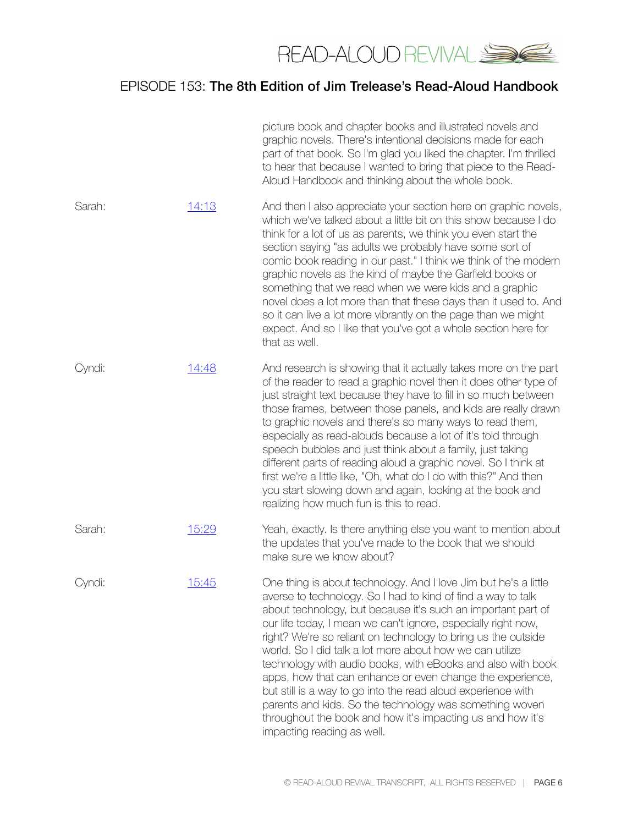

|        |       | picture book and chapter books and illustrated novels and<br>graphic novels. There's intentional decisions made for each<br>part of that book. So I'm glad you liked the chapter. I'm thrilled<br>to hear that because I wanted to bring that piece to the Read-<br>Aloud Handbook and thinking about the whole book.                                                                                                                                                                                                                                                                                                                                                                                                                            |
|--------|-------|--------------------------------------------------------------------------------------------------------------------------------------------------------------------------------------------------------------------------------------------------------------------------------------------------------------------------------------------------------------------------------------------------------------------------------------------------------------------------------------------------------------------------------------------------------------------------------------------------------------------------------------------------------------------------------------------------------------------------------------------------|
| Sarah: | 14:13 | And then I also appreciate your section here on graphic novels,<br>which we've talked about a little bit on this show because I do<br>think for a lot of us as parents, we think you even start the<br>section saying "as adults we probably have some sort of<br>comic book reading in our past." I think we think of the modern<br>graphic novels as the kind of maybe the Garfield books or<br>something that we read when we were kids and a graphic<br>novel does a lot more than that these days than it used to. And<br>so it can live a lot more vibrantly on the page than we might<br>expect. And so I like that you've got a whole section here for<br>that as well.                                                                  |
| Cyndi: | 14:48 | And research is showing that it actually takes more on the part<br>of the reader to read a graphic novel then it does other type of<br>just straight text because they have to fill in so much between<br>those frames, between those panels, and kids are really drawn<br>to graphic novels and there's so many ways to read them,<br>especially as read-alouds because a lot of it's told through<br>speech bubbles and just think about a family, just taking<br>different parts of reading aloud a graphic novel. So I think at<br>first we're a little like, "Oh, what do I do with this?" And then<br>you start slowing down and again, looking at the book and<br>realizing how much fun is this to read.                                 |
| Sarah: | 15:29 | Yeah, exactly. Is there anything else you want to mention about<br>the updates that you've made to the book that we should<br>make sure we know about?                                                                                                                                                                                                                                                                                                                                                                                                                                                                                                                                                                                           |
| Cyndi: | 15:45 | One thing is about technology. And I love Jim but he's a little<br>averse to technology. So I had to kind of find a way to talk<br>about technology, but because it's such an important part of<br>our life today, I mean we can't ignore, especially right now,<br>right? We're so reliant on technology to bring us the outside<br>world. So I did talk a lot more about how we can utilize<br>technology with audio books, with eBooks and also with book<br>apps, how that can enhance or even change the experience,<br>but still is a way to go into the read aloud experience with<br>parents and kids. So the technology was something woven<br>throughout the book and how it's impacting us and how it's<br>impacting reading as well. |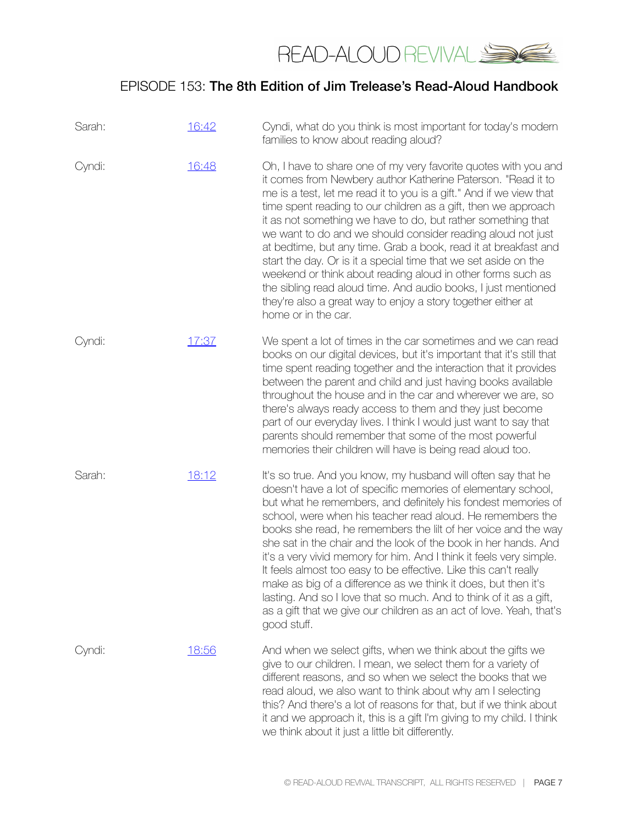

| Sarah: | 16:42 | Cyndi, what do you think is most important for today's modern<br>families to know about reading aloud?                                                                                                                                                                                                                                                                                                                                                                                                                                                                                                                                                                                                                                                                      |
|--------|-------|-----------------------------------------------------------------------------------------------------------------------------------------------------------------------------------------------------------------------------------------------------------------------------------------------------------------------------------------------------------------------------------------------------------------------------------------------------------------------------------------------------------------------------------------------------------------------------------------------------------------------------------------------------------------------------------------------------------------------------------------------------------------------------|
| Cyndi: | 16:48 | Oh, I have to share one of my very favorite quotes with you and<br>it comes from Newbery author Katherine Paterson. "Read it to<br>me is a test, let me read it to you is a gift." And if we view that<br>time spent reading to our children as a gift, then we approach<br>it as not something we have to do, but rather something that<br>we want to do and we should consider reading aloud not just<br>at bedtime, but any time. Grab a book, read it at breakfast and<br>start the day. Or is it a special time that we set aside on the<br>weekend or think about reading aloud in other forms such as<br>the sibling read aloud time. And audio books, I just mentioned<br>they're also a great way to enjoy a story together either at<br>home or in the car.       |
| Cyndi: | 17:37 | We spent a lot of times in the car sometimes and we can read<br>books on our digital devices, but it's important that it's still that<br>time spent reading together and the interaction that it provides<br>between the parent and child and just having books available<br>throughout the house and in the car and wherever we are, so<br>there's always ready access to them and they just become<br>part of our everyday lives. I think I would just want to say that<br>parents should remember that some of the most powerful<br>memories their children will have is being read aloud too.                                                                                                                                                                           |
| Sarah: | 18:12 | It's so true. And you know, my husband will often say that he<br>doesn't have a lot of specific memories of elementary school,<br>but what he remembers, and definitely his fondest memories of<br>school, were when his teacher read aloud. He remembers the<br>books she read, he remembers the lilt of her voice and the way<br>she sat in the chair and the look of the book in her hands. And<br>it's a very vivid memory for him. And I think it feels very simple.<br>It feels almost too easy to be effective. Like this can't really<br>make as big of a difference as we think it does, but then it's<br>lasting. And so I love that so much. And to think of it as a gift,<br>as a gift that we give our children as an act of love. Yeah, that's<br>good stuff. |
| Cyndi: | 18:56 | And when we select gifts, when we think about the gifts we<br>give to our children. I mean, we select them for a variety of<br>different reasons, and so when we select the books that we<br>read aloud, we also want to think about why am I selecting<br>this? And there's a lot of reasons for that, but if we think about<br>it and we approach it, this is a gift I'm giving to my child. I think<br>we think about it just a little bit differently.                                                                                                                                                                                                                                                                                                                  |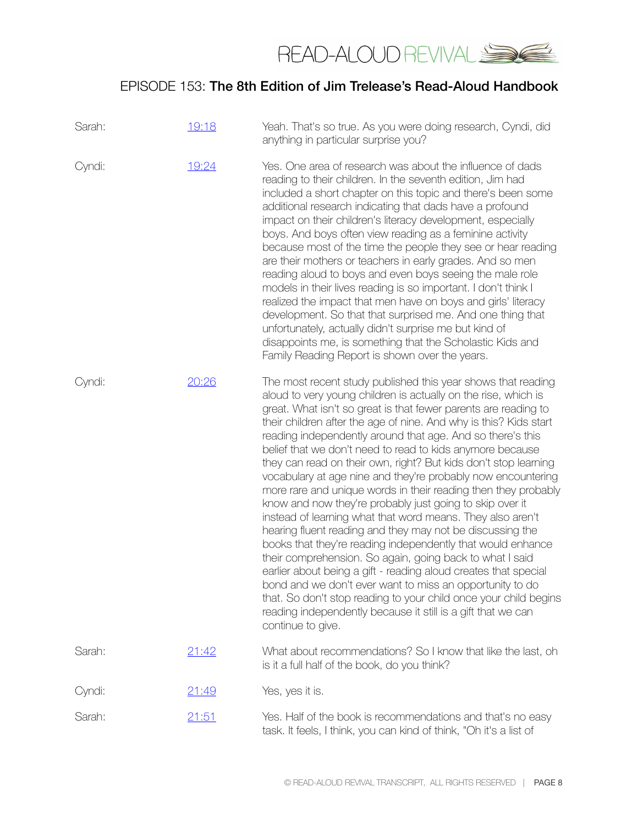

| Sarah: | 19:18 | Yeah. That's so true. As you were doing research, Cyndi, did<br>anything in particular surprise you?                                                                                                                                                                                                                                                                                                                                                                                                                                                                                                                                                                                                                                                                                                                                                                                                                                                                                                                                                                                                                                                                                                             |
|--------|-------|------------------------------------------------------------------------------------------------------------------------------------------------------------------------------------------------------------------------------------------------------------------------------------------------------------------------------------------------------------------------------------------------------------------------------------------------------------------------------------------------------------------------------------------------------------------------------------------------------------------------------------------------------------------------------------------------------------------------------------------------------------------------------------------------------------------------------------------------------------------------------------------------------------------------------------------------------------------------------------------------------------------------------------------------------------------------------------------------------------------------------------------------------------------------------------------------------------------|
| Cyndi: | 19:24 | Yes. One area of research was about the influence of dads<br>reading to their children. In the seventh edition, Jim had<br>included a short chapter on this topic and there's been some<br>additional research indicating that dads have a profound<br>impact on their children's literacy development, especially<br>boys. And boys often view reading as a feminine activity<br>because most of the time the people they see or hear reading<br>are their mothers or teachers in early grades. And so men<br>reading aloud to boys and even boys seeing the male role<br>models in their lives reading is so important. I don't think I<br>realized the impact that men have on boys and girls' literacy<br>development. So that that surprised me. And one thing that<br>unfortunately, actually didn't surprise me but kind of<br>disappoints me, is something that the Scholastic Kids and<br>Family Reading Report is shown over the years.                                                                                                                                                                                                                                                                |
| Cyndi: | 20:26 | The most recent study published this year shows that reading<br>aloud to very young children is actually on the rise, which is<br>great. What isn't so great is that fewer parents are reading to<br>their children after the age of nine. And why is this? Kids start<br>reading independently around that age. And so there's this<br>belief that we don't need to read to kids anymore because<br>they can read on their own, right? But kids don't stop learning<br>vocabulary at age nine and they're probably now encountering<br>more rare and unique words in their reading then they probably<br>know and now they're probably just going to skip over it<br>instead of learning what that word means. They also aren't<br>hearing fluent reading and they may not be discussing the<br>books that they're reading independently that would enhance<br>their comprehension. So again, going back to what I said<br>earlier about being a gift - reading aloud creates that special<br>bond and we don't ever want to miss an opportunity to do<br>that. So don't stop reading to your child once your child begins<br>reading independently because it still is a gift that we can<br>continue to give. |
| Sarah: | 21:42 | What about recommendations? So I know that like the last, oh<br>is it a full half of the book, do you think?                                                                                                                                                                                                                                                                                                                                                                                                                                                                                                                                                                                                                                                                                                                                                                                                                                                                                                                                                                                                                                                                                                     |
| Cyndi: | 21:49 | Yes, yes it is.                                                                                                                                                                                                                                                                                                                                                                                                                                                                                                                                                                                                                                                                                                                                                                                                                                                                                                                                                                                                                                                                                                                                                                                                  |
| Sarah: | 21:51 | Yes. Half of the book is recommendations and that's no easy<br>task. It feels, I think, you can kind of think, "Oh it's a list of                                                                                                                                                                                                                                                                                                                                                                                                                                                                                                                                                                                                                                                                                                                                                                                                                                                                                                                                                                                                                                                                                |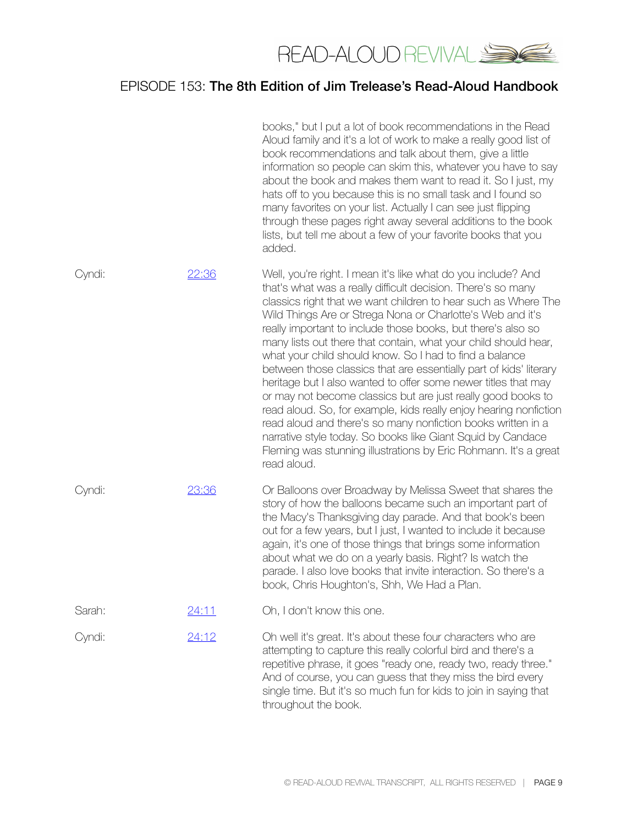

|        |       | books," but I put a lot of book recommendations in the Read<br>Aloud family and it's a lot of work to make a really good list of<br>book recommendations and talk about them, give a little<br>information so people can skim this, whatever you have to say<br>about the book and makes them want to read it. So I just, my<br>hats off to you because this is no small task and I found so<br>many favorites on your list. Actually I can see just flipping<br>through these pages right away several additions to the book<br>lists, but tell me about a few of your favorite books that you<br>added.                                                                                                                                                                                                                                                                                                                                                  |
|--------|-------|------------------------------------------------------------------------------------------------------------------------------------------------------------------------------------------------------------------------------------------------------------------------------------------------------------------------------------------------------------------------------------------------------------------------------------------------------------------------------------------------------------------------------------------------------------------------------------------------------------------------------------------------------------------------------------------------------------------------------------------------------------------------------------------------------------------------------------------------------------------------------------------------------------------------------------------------------------|
| Cyndi: | 22:36 | Well, you're right. I mean it's like what do you include? And<br>that's what was a really difficult decision. There's so many<br>classics right that we want children to hear such as Where The<br>Wild Things Are or Strega Nona or Charlotte's Web and it's<br>really important to include those books, but there's also so<br>many lists out there that contain, what your child should hear,<br>what your child should know. So I had to find a balance<br>between those classics that are essentially part of kids' literary<br>heritage but I also wanted to offer some newer titles that may<br>or may not become classics but are just really good books to<br>read aloud. So, for example, kids really enjoy hearing nonfiction<br>read aloud and there's so many nonfiction books written in a<br>narrative style today. So books like Giant Squid by Candace<br>Fleming was stunning illustrations by Eric Rohmann. It's a great<br>read aloud. |
| Cyndi: | 23:36 | Or Balloons over Broadway by Melissa Sweet that shares the<br>story of how the balloons became such an important part of<br>the Macy's Thanksgiving day parade. And that book's been<br>out for a few years, but I just, I wanted to include it because<br>again, it's one of those things that brings some information<br>about what we do on a yearly basis. Right? Is watch the<br>parade. I also love books that invite interaction. So there's a<br>book, Chris Houghton's, Shh, We Had a Plan.                                                                                                                                                                                                                                                                                                                                                                                                                                                       |
| Sarah: | 24:11 | Oh, I don't know this one.                                                                                                                                                                                                                                                                                                                                                                                                                                                                                                                                                                                                                                                                                                                                                                                                                                                                                                                                 |
| Cyndi: | 24:12 | Oh well it's great. It's about these four characters who are<br>attempting to capture this really colorful bird and there's a<br>repetitive phrase, it goes "ready one, ready two, ready three."<br>And of course, you can guess that they miss the bird every<br>single time. But it's so much fun for kids to join in saying that<br>throughout the book.                                                                                                                                                                                                                                                                                                                                                                                                                                                                                                                                                                                                |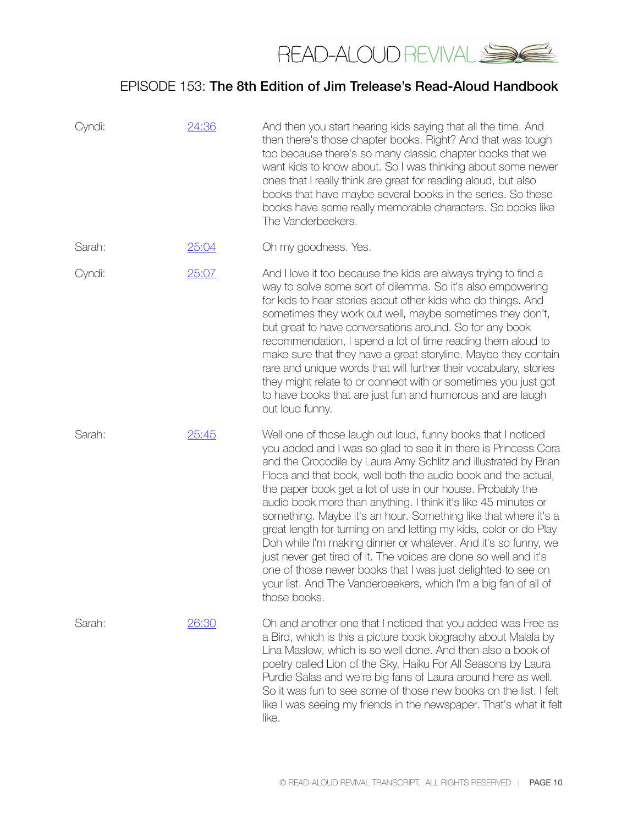

| Cyndi: | 24:36 | And then you start hearing kids saying that all the time. And<br>then there's those chapter books. Right? And that was tough<br>too because there's so many classic chapter books that we<br>want kids to know about. So I was thinking about some newer<br>ones that I really think are great for reading aloud, but also<br>books that have maybe several books in the series. So these<br>books have some really memorable characters. So books like<br>The Vanderbeekers.                                                                                                                                                                                                                                                                                                                                                        |
|--------|-------|--------------------------------------------------------------------------------------------------------------------------------------------------------------------------------------------------------------------------------------------------------------------------------------------------------------------------------------------------------------------------------------------------------------------------------------------------------------------------------------------------------------------------------------------------------------------------------------------------------------------------------------------------------------------------------------------------------------------------------------------------------------------------------------------------------------------------------------|
| Sarah: | 25:04 | Oh my goodness. Yes.                                                                                                                                                                                                                                                                                                                                                                                                                                                                                                                                                                                                                                                                                                                                                                                                                 |
| Cyndi: | 25:07 | And I love it too because the kids are always trying to find a<br>way to solve some sort of dilemma. So it's also empowering<br>for kids to hear stories about other kids who do things. And<br>sometimes they work out well, maybe sometimes they don't,<br>but great to have conversations around. So for any book<br>recommendation, I spend a lot of time reading them aloud to<br>make sure that they have a great storyline. Maybe they contain<br>rare and unique words that will further their vocabulary, stories<br>they might relate to or connect with or sometimes you just got<br>to have books that are just fun and humorous and are laugh<br>out loud funny.                                                                                                                                                        |
| Sarah: | 25:45 | Well one of those laugh out loud, funny books that I noticed<br>you added and I was so glad to see it in there is Princess Cora<br>and the Crocodile by Laura Amy Schlitz and illustrated by Brian<br>Floca and that book, well both the audio book and the actual,<br>the paper book get a lot of use in our house. Probably the<br>audio book more than anything. I think it's like 45 minutes or<br>something. Maybe it's an hour. Something like that where it's a<br>great length for turning on and letting my kids, color or do Play<br>Doh while I'm making dinner or whatever. And it's so funny, we<br>just never get tired of it. The voices are done so well and it's<br>one of those newer books that I was just delighted to see on<br>your list. And The Vanderbeekers, which I'm a big fan of all of<br>those books. |
| Sarah: | 26:30 | Oh and another one that I noticed that you added was Free as<br>a Bird, which is this a picture book biography about Malala by<br>Lina Maslow, which is so well done. And then also a book of<br>poetry called Lion of the Sky, Haiku For All Seasons by Laura<br>Purdie Salas and we're big fans of Laura around here as well.<br>So it was fun to see some of those new books on the list. I felt<br>like I was seeing my friends in the newspaper. That's what it felt<br>like.                                                                                                                                                                                                                                                                                                                                                   |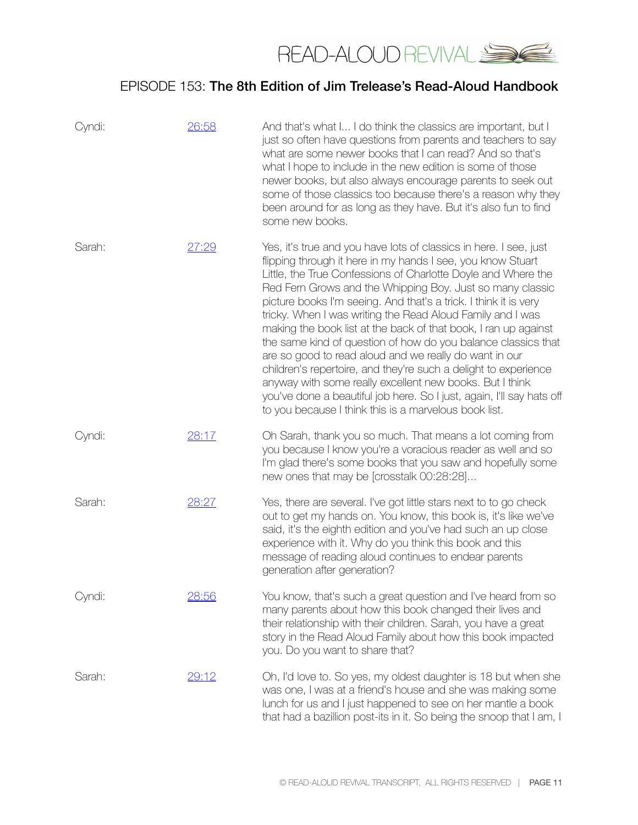

| Cyndi: | 26:58         | And that's what I I do think the classics are important, but I<br>just so often have questions from parents and teachers to say<br>what are some newer books that I can read? And so that's<br>what I hope to include in the new edition is some of those<br>newer books, but also always encourage parents to seek out<br>some of those classics too because there's a reason why they<br>been around for as long as they have. But it's also fun to find<br>some new books.                                                                                                                                                                                                                                                                                                                                                                                   |
|--------|---------------|-----------------------------------------------------------------------------------------------------------------------------------------------------------------------------------------------------------------------------------------------------------------------------------------------------------------------------------------------------------------------------------------------------------------------------------------------------------------------------------------------------------------------------------------------------------------------------------------------------------------------------------------------------------------------------------------------------------------------------------------------------------------------------------------------------------------------------------------------------------------|
| Sarah: | <u> 27:29</u> | Yes, it's true and you have lots of classics in here. I see, just<br>flipping through it here in my hands I see, you know Stuart<br>Little, the True Confessions of Charlotte Doyle and Where the<br>Red Fern Grows and the Whipping Boy. Just so many classic<br>picture books I'm seeing. And that's a trick. I think it is very<br>tricky. When I was writing the Read Aloud Family and I was<br>making the book list at the back of that book, I ran up against<br>the same kind of question of how do you balance classics that<br>are so good to read aloud and we really do want in our<br>children's repertoire, and they're such a delight to experience<br>anyway with some really excellent new books. But I think<br>you've done a beautiful job here. So I just, again, I'll say hats off<br>to you because I think this is a marvelous book list. |
| Cyndi: | 28:17         | Oh Sarah, thank you so much. That means a lot coming from<br>you because I know you're a voracious reader as well and so<br>I'm glad there's some books that you saw and hopefully some<br>new ones that may be [crosstalk 00:28:28]                                                                                                                                                                                                                                                                                                                                                                                                                                                                                                                                                                                                                            |
| Sarah: | 28:27         | Yes, there are several. I've got little stars next to to go check<br>out to get my hands on. You know, this book is, it's like we've<br>said, it's the eighth edition and you've had such an up close<br>experience with it. Why do you think this book and this<br>message of reading aloud continues to endear parents<br>generation after generation?                                                                                                                                                                                                                                                                                                                                                                                                                                                                                                        |
| Cyndi: | 28:56         | You know, that's such a great question and I've heard from so<br>many parents about how this book changed their lives and<br>their relationship with their children. Sarah, you have a great<br>story in the Read Aloud Family about how this book impacted<br>you. Do you want to share that?                                                                                                                                                                                                                                                                                                                                                                                                                                                                                                                                                                  |
| Sarah: | 29:12         | Oh, I'd love to. So yes, my oldest daughter is 18 but when she<br>was one, I was at a friend's house and she was making some<br>lunch for us and I just happened to see on her mantle a book<br>that had a bazillion post-its in it. So being the snoop that I am, I                                                                                                                                                                                                                                                                                                                                                                                                                                                                                                                                                                                            |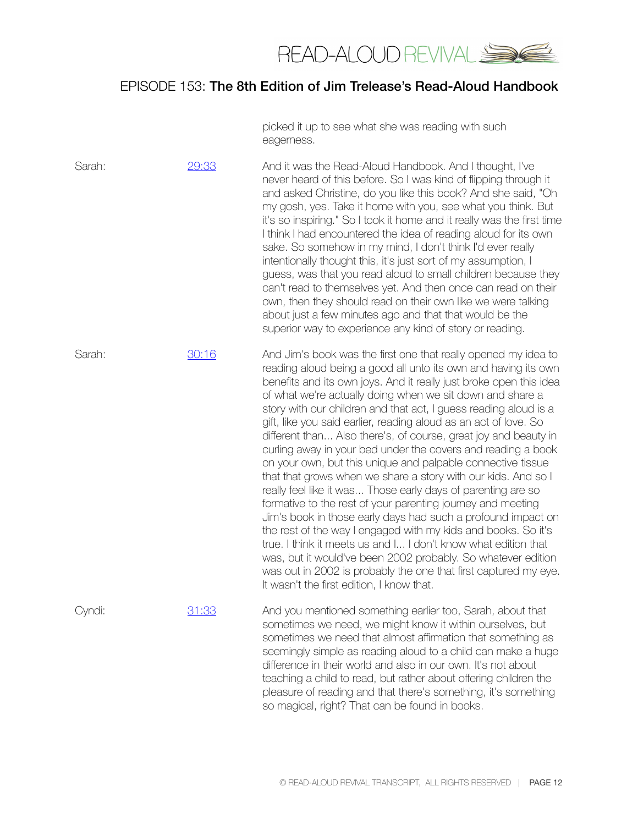

picked it up to see what she was reading with such eagerness.

| Sarah: | 29:33 | And it was the Read-Aloud Handbook. And I thought, I've<br>never heard of this before. So I was kind of flipping through it<br>and asked Christine, do you like this book? And she said, "Oh<br>my gosh, yes. Take it home with you, see what you think. But<br>it's so inspiring." So I took it home and it really was the first time<br>I think I had encountered the idea of reading aloud for its own<br>sake. So somehow in my mind, I don't think I'd ever really<br>intentionally thought this, it's just sort of my assumption, I<br>guess, was that you read aloud to small children because they<br>can't read to themselves yet. And then once can read on their<br>own, then they should read on their own like we were talking<br>about just a few minutes ago and that that would be the<br>superior way to experience any kind of story or reading.                                                                                                                                                                                                                                                                                                                               |
|--------|-------|--------------------------------------------------------------------------------------------------------------------------------------------------------------------------------------------------------------------------------------------------------------------------------------------------------------------------------------------------------------------------------------------------------------------------------------------------------------------------------------------------------------------------------------------------------------------------------------------------------------------------------------------------------------------------------------------------------------------------------------------------------------------------------------------------------------------------------------------------------------------------------------------------------------------------------------------------------------------------------------------------------------------------------------------------------------------------------------------------------------------------------------------------------------------------------------------------|
| Sarah: | 30:16 | And Jim's book was the first one that really opened my idea to<br>reading aloud being a good all unto its own and having its own<br>benefits and its own joys. And it really just broke open this idea<br>of what we're actually doing when we sit down and share a<br>story with our children and that act, I guess reading aloud is a<br>gift, like you said earlier, reading aloud as an act of love. So<br>different than Also there's, of course, great joy and beauty in<br>curling away in your bed under the covers and reading a book<br>on your own, but this unique and palpable connective tissue<br>that that grows when we share a story with our kids. And so I<br>really feel like it was Those early days of parenting are so<br>formative to the rest of your parenting journey and meeting<br>Jim's book in those early days had such a profound impact on<br>the rest of the way I engaged with my kids and books. So it's<br>true. I think it meets us and I I don't know what edition that<br>was, but it would've been 2002 probably. So whatever edition<br>was out in 2002 is probably the one that first captured my eye.<br>It wasn't the first edition, I know that. |
| Cyndi: | 31:33 | And you mentioned something earlier too, Sarah, about that<br>sometimes we need, we might know it within ourselves, but<br>sometimes we need that almost affirmation that something as<br>seemingly simple as reading aloud to a child can make a huge<br>difference in their world and also in our own. It's not about<br>teaching a child to read, but rather about offering children the<br>pleasure of reading and that there's something, it's something<br>so magical, right? That can be found in books.                                                                                                                                                                                                                                                                                                                                                                                                                                                                                                                                                                                                                                                                                  |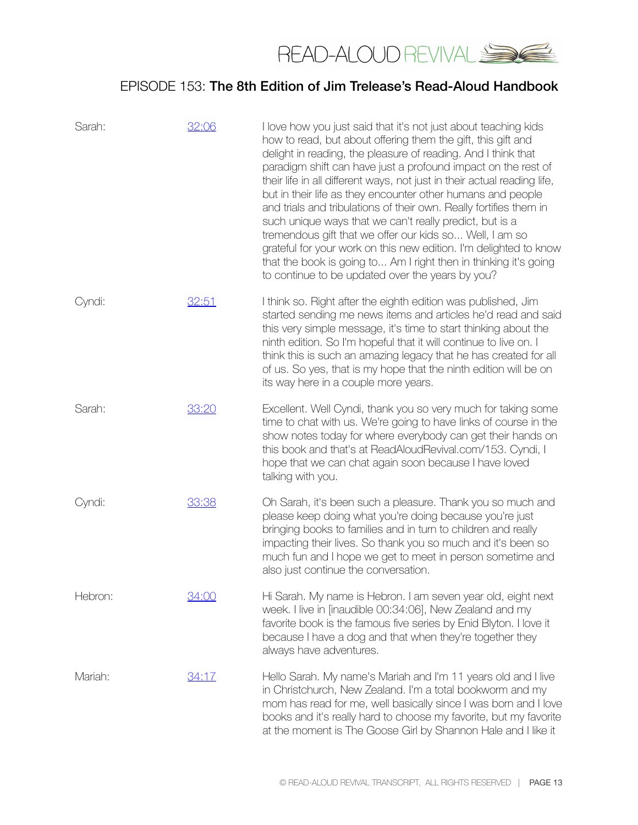

| Sarah:  | 32:06 | I love how you just said that it's not just about teaching kids<br>how to read, but about offering them the gift, this gift and<br>delight in reading, the pleasure of reading. And I think that<br>paradigm shift can have just a profound impact on the rest of<br>their life in all different ways, not just in their actual reading life,<br>but in their life as they encounter other humans and people<br>and trials and tribulations of their own. Really fortifies them in<br>such unique ways that we can't really predict, but is a<br>tremendous gift that we offer our kids so Well, I am so<br>grateful for your work on this new edition. I'm delighted to know<br>that the book is going to Am I right then in thinking it's going<br>to continue to be updated over the years by you? |
|---------|-------|-------------------------------------------------------------------------------------------------------------------------------------------------------------------------------------------------------------------------------------------------------------------------------------------------------------------------------------------------------------------------------------------------------------------------------------------------------------------------------------------------------------------------------------------------------------------------------------------------------------------------------------------------------------------------------------------------------------------------------------------------------------------------------------------------------|
| Cyndi:  | 32:51 | I think so. Right after the eighth edition was published, Jim<br>started sending me news items and articles he'd read and said<br>this very simple message, it's time to start thinking about the<br>ninth edition. So I'm hopeful that it will continue to live on. I<br>think this is such an amazing legacy that he has created for all<br>of us. So yes, that is my hope that the ninth edition will be on<br>its way here in a couple more years.                                                                                                                                                                                                                                                                                                                                                |
| Sarah:  | 33:20 | Excellent. Well Cyndi, thank you so very much for taking some<br>time to chat with us. We're going to have links of course in the<br>show notes today for where everybody can get their hands on<br>this book and that's at ReadAloudRevival.com/153. Cyndi, I<br>hope that we can chat again soon because I have loved<br>talking with you.                                                                                                                                                                                                                                                                                                                                                                                                                                                          |
| Cyndi:  | 33:38 | Oh Sarah, it's been such a pleasure. Thank you so much and<br>please keep doing what you're doing because you're just<br>bringing books to families and in turn to children and really<br>impacting their lives. So thank you so much and it's been so<br>much fun and I hope we get to meet in person sometime and<br>also just continue the conversation.                                                                                                                                                                                                                                                                                                                                                                                                                                           |
| Hebron: | 34:00 | Hi Sarah. My name is Hebron. I am seven year old, eight next<br>week. I live in [inaudible 00:34:06], New Zealand and my<br>favorite book is the famous five series by Enid Blyton. I love it<br>because I have a dog and that when they're together they<br>always have adventures.                                                                                                                                                                                                                                                                                                                                                                                                                                                                                                                  |
| Mariah: | 34:17 | Hello Sarah. My name's Mariah and I'm 11 years old and I live<br>in Christchurch, New Zealand. I'm a total bookworm and my<br>mom has read for me, well basically since I was born and I love<br>books and it's really hard to choose my favorite, but my favorite<br>at the moment is The Goose Girl by Shannon Hale and I like it                                                                                                                                                                                                                                                                                                                                                                                                                                                                   |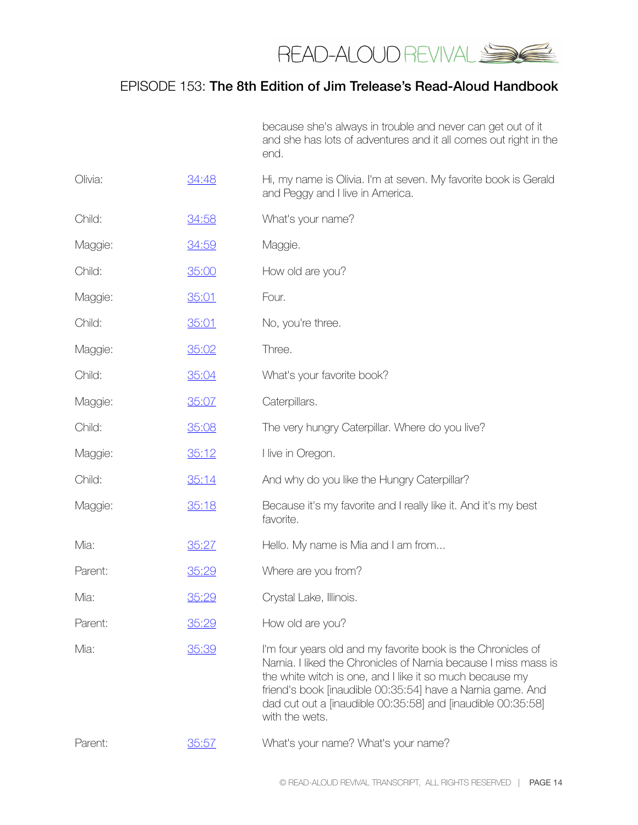

because she's always in trouble and never can get out of it and she has lots of adventures and it all comes out right in the end.

| Olivia: | 34:48 | Hi, my name is Olivia. I'm at seven. My favorite book is Gerald<br>and Peggy and I live in America.                                                                                                                                                                                                                                       |
|---------|-------|-------------------------------------------------------------------------------------------------------------------------------------------------------------------------------------------------------------------------------------------------------------------------------------------------------------------------------------------|
| Child:  | 34:58 | What's your name?                                                                                                                                                                                                                                                                                                                         |
| Maggie: | 34:59 | Maggie.                                                                                                                                                                                                                                                                                                                                   |
| Child:  | 35:00 | How old are you?                                                                                                                                                                                                                                                                                                                          |
| Maggie: | 35:01 | Four.                                                                                                                                                                                                                                                                                                                                     |
| Child:  | 35:01 | No, you're three.                                                                                                                                                                                                                                                                                                                         |
| Maggie: | 35:02 | Three.                                                                                                                                                                                                                                                                                                                                    |
| Child:  | 35:04 | What's your favorite book?                                                                                                                                                                                                                                                                                                                |
| Maggie: | 35:07 | Caterpillars.                                                                                                                                                                                                                                                                                                                             |
| Child:  | 35:08 | The very hungry Caterpillar. Where do you live?                                                                                                                                                                                                                                                                                           |
| Maggie: | 35:12 | I live in Oregon.                                                                                                                                                                                                                                                                                                                         |
| Child:  | 35:14 | And why do you like the Hungry Caterpillar?                                                                                                                                                                                                                                                                                               |
| Maggie: | 35:18 | Because it's my favorite and I really like it. And it's my best<br>favorite.                                                                                                                                                                                                                                                              |
| Mia:    | 35:27 | Hello. My name is Mia and I am from                                                                                                                                                                                                                                                                                                       |
| Parent: | 35:29 | Where are you from?                                                                                                                                                                                                                                                                                                                       |
| Mia:    | 35:29 | Crystal Lake, Illinois.                                                                                                                                                                                                                                                                                                                   |
| Parent: | 35:29 | How old are you?                                                                                                                                                                                                                                                                                                                          |
| Mia:    | 35:39 | I'm four years old and my favorite book is the Chronicles of<br>Narnia. I liked the Chronicles of Narnia because I miss mass is<br>the white witch is one, and I like it so much because my<br>friend's book (inaudible 00:35:54) have a Namia game. And<br>dad cut out a [inaudible 00:35:58] and [inaudible 00:35:58]<br>with the wets. |
| Parent: | 35:57 | What's your name? What's your name?                                                                                                                                                                                                                                                                                                       |